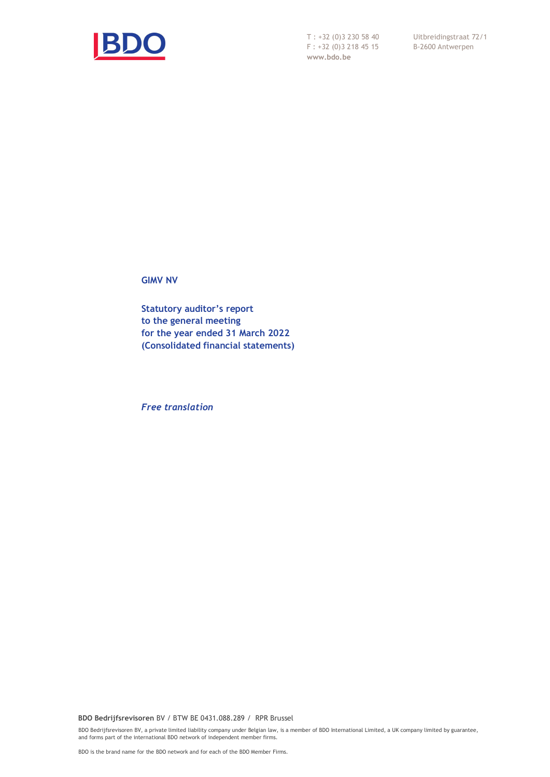

T : +32 (0)3 230 58 40 F : +32 (0)3 218 45 15 **www.bdo.be**

Uitbreidingstraat 72/1 B-2600 Antwerpen

**GIMV NV**

**Statutory auditor's report to the general meeting for the year ended 31 March 2022 (Consolidated financial statements)**

*Free translation*

**BDO Bedrijfsrevisoren** BV / BTW BE 0431.088.289 / RPR Brussel

BDO Bedrijfsrevisoren BV, a private limited liability company under Belgian law, is a member of BDO International Limited, a UK company limited by guarantee, and forms part of the international BDO network of independent member firms.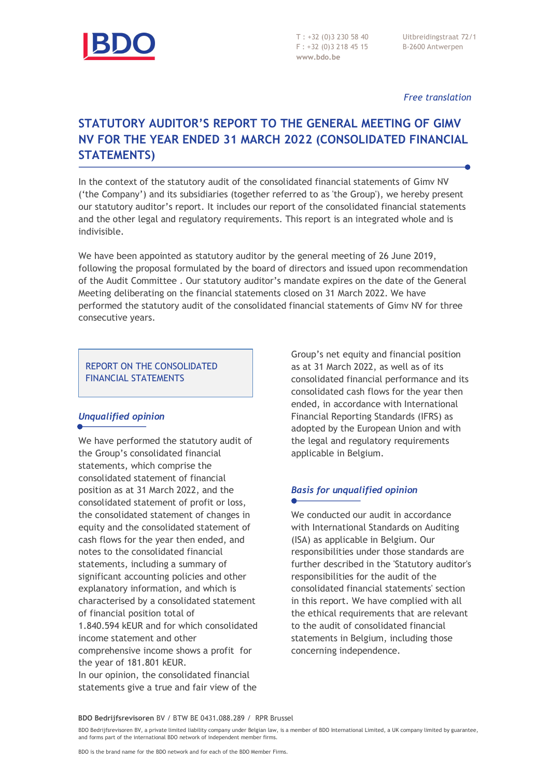

T : +32 (0)3 230 58 40 F : +32 (0)3 218 45 15 **www.bdo.be**

Uitbreidingstraat 72/1 B-2600 Antwerpen

#### *Free translation*

# **STATUTORY AUDITOR'S REPORT TO THE GENERAL MEETING OF GIMV NV FOR THE YEAR ENDED 31 MARCH 2022 (CONSOLIDATED FINANCIAL STATEMENTS)**

In the context of the statutory audit of the consolidated financial statements of Gimv NV ('the Company') and its subsidiaries (together referred to as 'the Group'), we hereby present our statutory auditor's report. It includes our report of the consolidated financial statements and the other legal and regulatory requirements. This report is an integrated whole and is indivisible.

We have been appointed as statutory auditor by the general meeting of 26 June 2019, following the proposal formulated by the board of directors and issued upon recommendation of the Audit Committee . Our statutory auditor's mandate expires on the date of the General Meeting deliberating on the financial statements closed on 31 March 2022. We have performed the statutory audit of the consolidated financial statements of Gimv NV for three consecutive years.

#### REPORT ON THE CONSOLIDATED FINANCIAL STATEMENTS

## *Unqualified opinion*

We have performed the statutory audit of the Group's consolidated financial statements, which comprise the consolidated statement of financial position as at 31 March 2022, and the consolidated statement of profit or loss, the consolidated statement of changes in equity and the consolidated statement of cash flows for the year then ended, and notes to the consolidated financial statements, including a summary of significant accounting policies and other explanatory information, and which is characterised by a consolidated statement of financial position total of 1.840.594 kEUR and for which consolidated income statement and other comprehensive income shows a profit for the year of 181.801 kEUR.

In our opinion, the consolidated financial statements give a true and fair view of the Group's net equity and financial position as at 31 March 2022, as well as of its consolidated financial performance and its consolidated cash flows for the year then ended, in accordance with International Financial Reporting Standards (IFRS) as adopted by the European Union and with the legal and regulatory requirements applicable in Belgium.

# *Basis for unqualified opinion*

We conducted our audit in accordance with International Standards on Auditing (ISA) as applicable in Belgium. Our responsibilities under those standards are further described in the 'Statutory auditor's responsibilities for the audit of the consolidated financial statements' section in this report. We have complied with all the ethical requirements that are relevant to the audit of consolidated financial statements in Belgium, including those concerning independence.

**BDO Bedrijfsrevisoren** BV / BTW BE 0431.088.289 / RPR Brussel

BDO Bedrijfsrevisoren BV, a private limited liability company under Belgian law, is a member of BDO International Limited, a UK company limited by guarantee, and forms part of the international BDO network of independent member firms.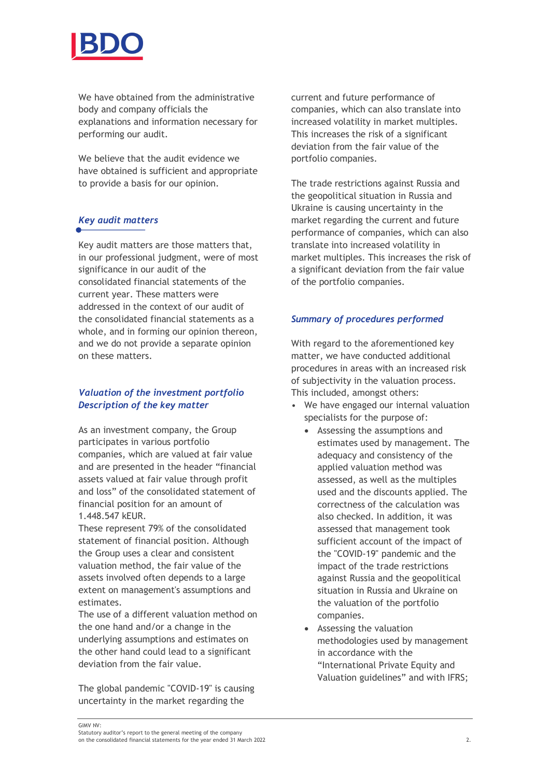

We have obtained from the administrative body and company officials the explanations and information necessary for performing our audit.

We believe that the audit evidence we have obtained is sufficient and appropriate to provide a basis for our opinion.

## *Key audit matters*

Key audit matters are those matters that, in our professional judgment, were of most significance in our audit of the consolidated financial statements of the current year. These matters were addressed in the context of our audit of the consolidated financial statements as a whole, and in forming our opinion thereon, and we do not provide a separate opinion on these matters.

#### *Valuation of the investment portfolio Description of the key matter*

As an investment company, the Group participates in various portfolio companies, which are valued at fair value and are presented in the header "financial assets valued at fair value through profit and loss" of the consolidated statement of financial position for an amount of 1.448.547 kEUR.

These represent 79% of the consolidated statement of financial position. Although the Group uses a clear and consistent valuation method, the fair value of the assets involved often depends to a large extent on management's assumptions and estimates.

The use of a different valuation method on the one hand and/or a change in the underlying assumptions and estimates on the other hand could lead to a significant deviation from the fair value.

The global pandemic "COVID-19" is causing uncertainty in the market regarding the

current and future performance of companies, which can also translate into increased volatility in market multiples. This increases the risk of a significant deviation from the fair value of the portfolio companies.

The trade restrictions against Russia and the geopolitical situation in Russia and Ukraine is causing uncertainty in the market regarding the current and future performance of companies, which can also translate into increased volatility in market multiples. This increases the risk of a significant deviation from the fair value of the portfolio companies.

#### *Summary of procedures performed*

With regard to the aforementioned key matter, we have conducted additional procedures in areas with an increased risk of subjectivity in the valuation process. This included, amongst others:

- We have engaged our internal valuation specialists for the purpose of:
	- Assessing the assumptions and estimates used by management. The adequacy and consistency of the applied valuation method was assessed, as well as the multiples used and the discounts applied. The correctness of the calculation was also checked. In addition, it was assessed that management took sufficient account of the impact of the "COVID-19" pandemic and the impact of the trade restrictions against Russia and the geopolitical situation in Russia and Ukraine on the valuation of the portfolio companies.
	- Assessing the valuation methodologies used by management in accordance with the "International Private Equity and Valuation guidelines" and with IFRS;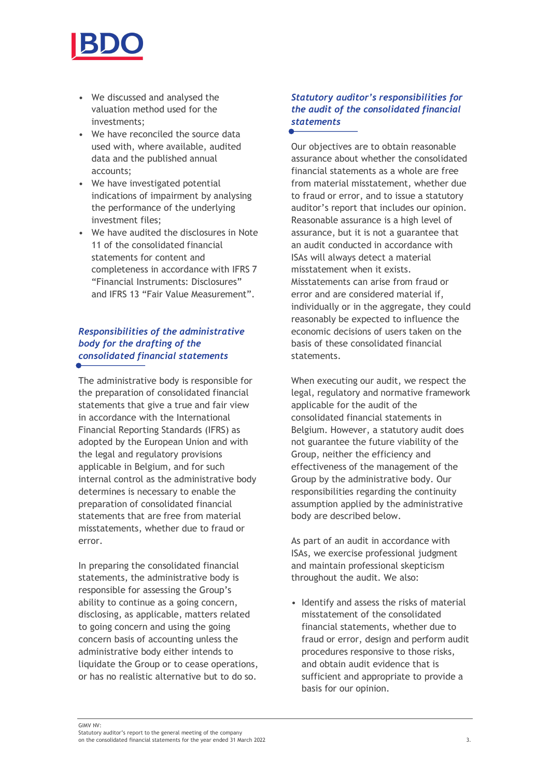

- We discussed and analysed the valuation method used for the investments;
- We have reconciled the source data used with, where available, audited data and the published annual accounts;
- We have investigated potential indications of impairment by analysing the performance of the underlying investment files;
- We have audited the disclosures in Note 11 of the consolidated financial statements for content and completeness in accordance with IFRS 7 "Financial Instruments: Disclosures" and IFRS 13 "Fair Value Measurement".

## *Responsibilities of the administrative body for the drafting of the consolidated financial statements*

The administrative body is responsible for the preparation of consolidated financial statements that give a true and fair view in accordance with the International Financial Reporting Standards (IFRS) as adopted by the European Union and with the legal and regulatory provisions applicable in Belgium, and for such internal control as the administrative body determines is necessary to enable the preparation of consolidated financial statements that are free from material misstatements, whether due to fraud or error.

In preparing the consolidated financial statements, the administrative body is responsible for assessing the Group's ability to continue as a going concern, disclosing, as applicable, matters related to going concern and using the going concern basis of accounting unless the administrative body either intends to liquidate the Group or to cease operations, or has no realistic alternative but to do so.

#### *Statutory auditor's responsibilities for the audit of the consolidated financial statements*

Our objectives are to obtain reasonable assurance about whether the consolidated financial statements as a whole are free from material misstatement, whether due to fraud or error, and to issue a statutory auditor's report that includes our opinion. Reasonable assurance is a high level of assurance, but it is not a guarantee that an audit conducted in accordance with ISAs will always detect a material misstatement when it exists. Misstatements can arise from fraud or error and are considered material if, individually or in the aggregate, they could reasonably be expected to influence the economic decisions of users taken on the basis of these consolidated financial statements.

When executing our audit, we respect the legal, regulatory and normative framework applicable for the audit of the consolidated financial statements in Belgium. However, a statutory audit does not guarantee the future viability of the Group, neither the efficiency and effectiveness of the management of the Group by the administrative body. Our responsibilities regarding the continuity assumption applied by the administrative body are described below.

As part of an audit in accordance with ISAs, we exercise professional judgment and maintain professional skepticism throughout the audit. We also:

• Identify and assess the risks of material misstatement of the consolidated financial statements, whether due to fraud or error, design and perform audit procedures responsive to those risks, and obtain audit evidence that is sufficient and appropriate to provide a basis for our opinion.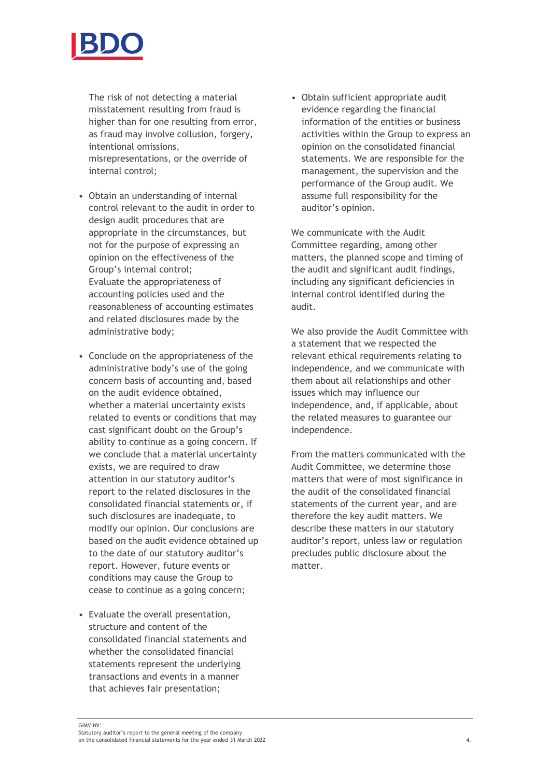

The risk of not detecting a material misstatement resulting from fraud is higher than for one resulting from error, as fraud may involve collusion, forgery, intentional omissions, misrepresentations, or the override of internal control;

- Obtain an understanding of internal control relevant to the audit in order to design audit procedures that are appropriate in the circumstances, but not for the purpose of expressing an opinion on the effectiveness of the Group's internal control; Evaluate the appropriateness of accounting policies used and the reasonableness of accounting estimates and related disclosures made by the administrative body;
- Conclude on the appropriateness of the administrative body's use of the going concern basis of accounting and, based on the audit evidence obtained, whether a material uncertainty exists related to events or conditions that may cast significant doubt on the Group's ability to continue as a going concern. If we conclude that a material uncertainty exists, we are required to draw attention in our statutory auditor's report to the related disclosures in the consolidated financial statements or, if such disclosures are inadequate, to modify our opinion. Our conclusions are based on the audit evidence obtained up to the date of our statutory auditor's report. However, future events or conditions may cause the Group to cease to continue as a going concern;
- Evaluate the overall presentation, structure and content of the consolidated financial statements and whether the consolidated financial statements represent the underlying transactions and events in a manner that achieves fair presentation;

• Obtain sufficient appropriate audit evidence regarding the financial information of the entities or business activities within the Group to express an opinion on the consolidated financial statements. We are responsible for the management, the supervision and the performance of the Group audit. We assume full responsibility for the auditor's opinion.

We communicate with the Audit Committee regarding, among other matters, the planned scope and timing of the audit and significant audit findings, including any significant deficiencies in internal control identified during the audit.

We also provide the Audit Committee with a statement that we respected the relevant ethical requirements relating to independence, and we communicate with them about all relationships and other issues which may influence our independence, and, if applicable, about the related measures to guarantee our independence.

From the matters communicated with the Audit Committee, we determine those matters that were of most significance in the audit of the consolidated financial statements of the current year, and are therefore the key audit matters. We describe these matters in our statutory auditor's report, unless law or regulation precludes public disclosure about the matter.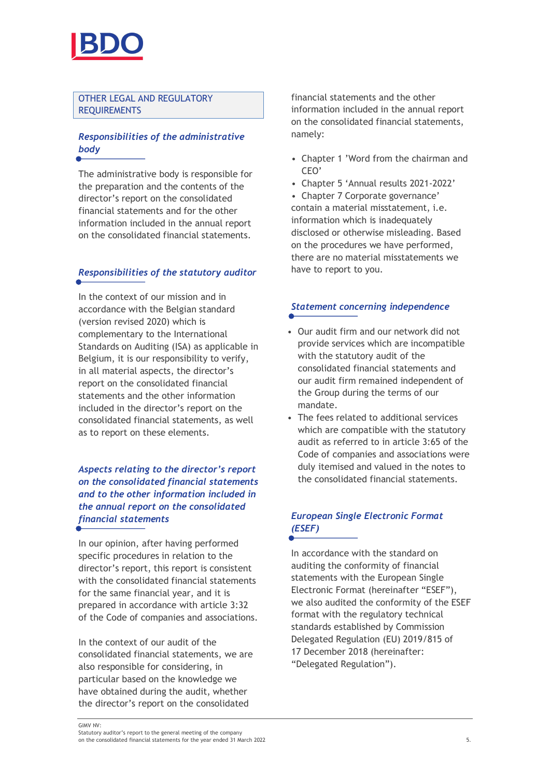

#### OTHER LEGAL AND REGULATORY REQUIREMENTS

## *Responsibilities of the administrative body*

The administrative body is responsible for the preparation and the contents of the director's report on the consolidated financial statements and for the other information included in the annual report on the consolidated financial statements.

#### *Responsibilities of the statutory auditor*

In the context of our mission and in accordance with the Belgian standard (version revised 2020) which is complementary to the International Standards on Auditing (ISA) as applicable in Belgium, it is our responsibility to verify, in all material aspects, the director's report on the consolidated financial statements and the other information included in the director's report on the consolidated financial statements, as well as to report on these elements.

## *Aspects relating to the director's report on the consolidated financial statements and to the other information included in the annual report on the consolidated financial statements*

In our opinion, after having performed specific procedures in relation to the director's report, this report is consistent with the consolidated financial statements for the same financial year, and it is prepared in accordance with article 3:32 of the Code of companies and associations.

In the context of our audit of the consolidated financial statements, we are also responsible for considering, in particular based on the knowledge we have obtained during the audit, whether the director's report on the consolidated

financial statements and the other information included in the annual report on the consolidated financial statements, namely:

- Chapter 1 'Word from the chairman and CEO'
- Chapter 5 'Annual results 2021-2022'

• Chapter 7 Corporate governance' contain a material misstatement, i.e. information which is inadequately disclosed or otherwise misleading. Based on the procedures we have performed, there are no material misstatements we have to report to you.

# *Statement concerning independence*

- Our audit firm and our network did not provide services which are incompatible with the statutory audit of the consolidated financial statements and our audit firm remained independent of the Group during the terms of our mandate.
- The fees related to additional services which are compatible with the statutory audit as referred to in article 3:65 of the Code of companies and associations were duly itemised and valued in the notes to the consolidated financial statements.

## *European Single Electronic Format (ESEF)*

In accordance with the standard on auditing the conformity of financial statements with the European Single Electronic Format (hereinafter "ESEF"), we also audited the conformity of the ESEF format with the regulatory technical standards established by Commission Delegated Regulation (EU) 2019/815 of 17 December 2018 (hereinafter: "Delegated Regulation").

on the consolidated financial statements for the year ended 31 March 2022 5.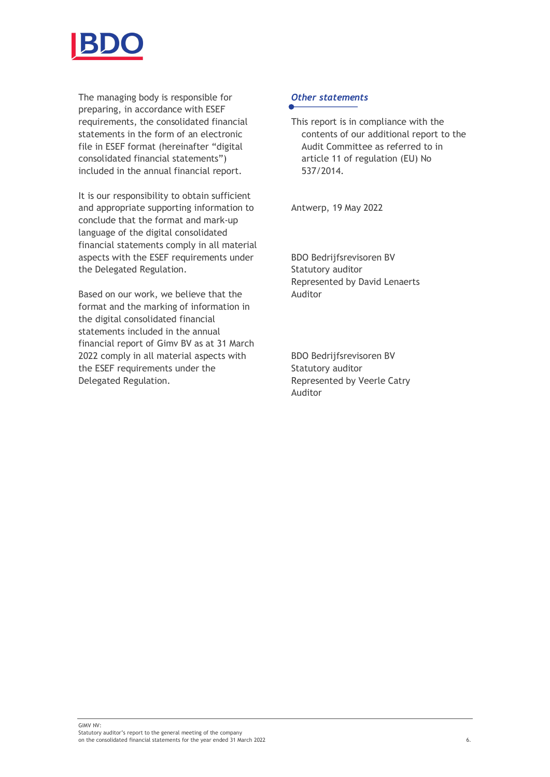

The managing body is responsible for preparing, in accordance with ESEF requirements, the consolidated financial statements in the form of an electronic file in ESEF format (hereinafter "digital consolidated financial statements") included in the annual financial report.

It is our responsibility to obtain sufficient and appropriate supporting information to conclude that the format and mark-up language of the digital consolidated financial statements comply in all material aspects with the ESEF requirements under the Delegated Regulation.

Based on our work, we believe that the format and the marking of information in the digital consolidated financial statements included in the annual financial report of Gimv BV as at 31 March 2022 comply in all material aspects with the ESEF requirements under the Delegated Regulation.

#### *Other statements*

This report is in compliance with the contents of our additional report to the Audit Committee as referred to in article 11 of regulation (EU) No 537/2014.

Antwerp, 19 May 2022

BDO Bedrijfsrevisoren BV Statutory auditor Represented by David Lenaerts Auditor

BDO Bedrijfsrevisoren BV Statutory auditor Represented by Veerle Catry Auditor